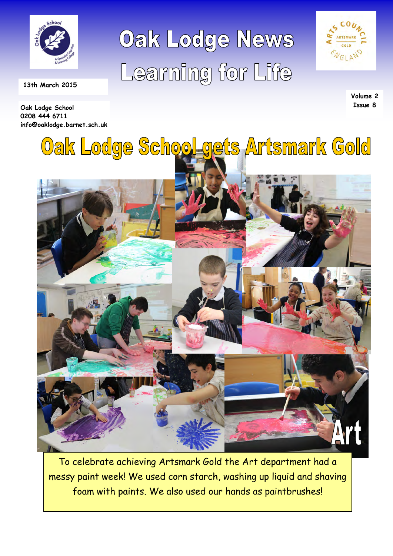

**Oak Lodge School 0208 444 6711** 

 **13th March 2015** 

**info@oaklodge.barnet.sch.uk** 

Oak Lodge News Learning for Life



**Volume 2 Issue 8** 



To celebrate achieving Artsmark Gold the Art department had a messy paint week! We used corn starch, washing up liquid and shaving foam with paints. We also used our hands as paintbrushes!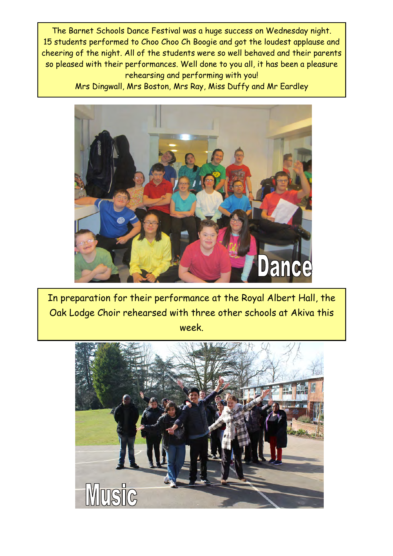The Barnet Schools Dance Festival was a huge success on Wednesday night. 15 students performed to Choo Choo Ch Boogie and got the loudest applause and cheering of the night. All of the students were so well behaved and their parents so pleased with their performances. Well done to you all, it has been a pleasure rehearsing and performing with you!

Mrs Dingwall, Mrs Boston, Mrs Ray, Miss Duffy and Mr Eardley



In preparation for their performance at the Royal Albert Hall, the Oak Lodge Choir rehearsed with three other schools at Akiva this week.

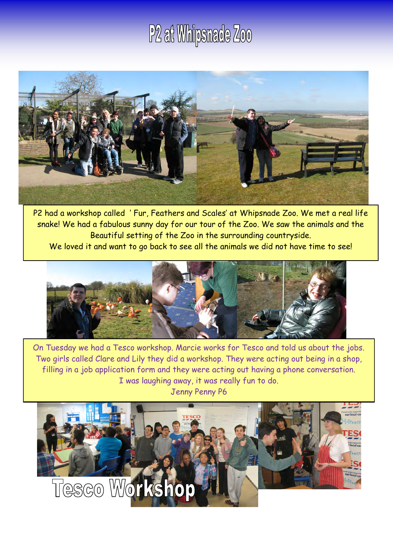## P<sub>2</sub> at Whipsnade Zoo



P2 had a workshop called ' Fur, Feathers and Scales' at Whipsnade Zoo. We met a real life snake! We had a fabulous sunny day for our tour of the Zoo. We saw the animals and the Beautiful setting of the Zoo in the surrounding countryside.

We loved it and want to go back to see all the animals we did not have time to see!



On Tuesday we had a Tesco workshop. Marcie works for Tesco and told us about the jobs. Two girls called Clare and Lily they did a workshop. They were acting out being in a shop, filling in a job application form and they were acting out having a phone conversation. I was laughing away, it was really fun to do. Jenny Penny P6